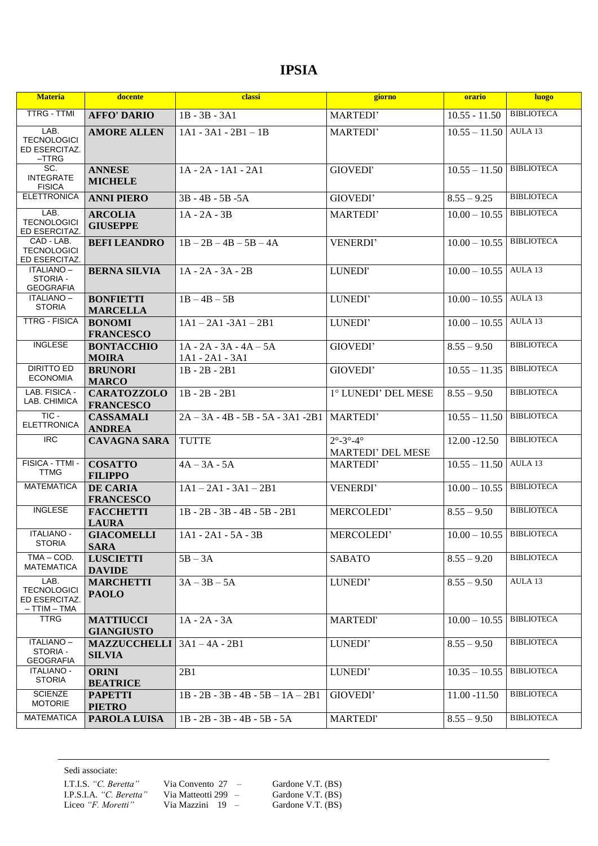## **IPSIA**

| <b>Materia</b>                                               | docente                                | classi                                      | giorno                                                          | orario                     | <b>luogo</b>      |
|--------------------------------------------------------------|----------------------------------------|---------------------------------------------|-----------------------------------------------------------------|----------------------------|-------------------|
| <b>TTRG - TTMI</b>                                           | <b>AFFO' DARIO</b>                     | $1B - 3B - 3A1$                             | <b>MARTEDI'</b>                                                 | $10.55 - 11.50$            | <b>BIBLIOTECA</b> |
| LAB.<br><b>TECNOLOGICI</b><br>ED ESERCITAZ.<br>$-{\sf TTRG}$ | <b>AMORE ALLEN</b>                     | $1A1 - 3A1 - 2B1 - 1B$                      | MARTEDI'                                                        | $10.55 - 11.50$            | AULA 13           |
| SC.<br><b>INTEGRATE</b><br><b>FISICA</b>                     | <b>ANNESE</b><br><b>MICHELE</b>        | 1A - 2A - 1A1 - 2A1                         | <b>GIOVEDI'</b>                                                 | $10.55 - 11.50$            | <b>BIBLIOTECA</b> |
| <b>ELETTRONICA</b>                                           | <b>ANNI PIERO</b>                      | $3B - 4B - 5B - 5A$                         | GIOVEDI'                                                        | $8.55 - 9.25$              | <b>BIBLIOTECA</b> |
| LAB.<br><b>TECNOLOGICI</b><br>ED ESERCITAZ.                  | <b>ARCOLIA</b><br><b>GIUSEPPE</b>      | $1A - 2A - 3B$                              | MARTEDI'                                                        | $10.00 - 10.55$            | <b>BIBLIOTECA</b> |
| CAD - LAB.<br><b>TECNOLOGICI</b><br>ED ESERCITAZ.            | <b>BEFI LEANDRO</b>                    | $1B - 2B - 4B - 5B - 4A$                    | VENERDI'                                                        | $10.00 - 10.55$            | <b>BIBLIOTECA</b> |
| ITALIANO-<br>STORIA -<br><b>GEOGRAFIA</b>                    | <b>BERNA SILVIA</b>                    | $1A - 2A - 3A - 2B$                         | LUNEDI'                                                         | $10.00 - 10.55$            | AULA 13           |
| <b>ITALIANO -</b><br><b>STORIA</b>                           | <b>BONFIETTI</b><br><b>MARCELLA</b>    | $1B - 4B - 5B$                              | LUNEDI'                                                         | $10.00 - 10.55$            | AULA 13           |
| <b>TTRG - FISICA</b>                                         | <b>BONOMI</b><br><b>FRANCESCO</b>      | $1A1 - 2A1 - 3A1 - 2B1$                     | LUNEDI'                                                         | $10.00 - 10.55$            | AULA 13           |
| <b>INGLESE</b>                                               | <b>BONTACCHIO</b><br><b>MOIRA</b>      | $1A - 2A - 3A - 4A - 5A$<br>1A1 - 2A1 - 3A1 | GIOVEDI'                                                        | $8.55 - 9.50$              | <b>BIBLIOTECA</b> |
| <b>DIRITTO ED</b><br><b>ECONOMIA</b>                         | <b>BRUNORI</b><br><b>MARCO</b>         | $1B - 2B - 2B1$                             | GIOVEDI'                                                        | $10.55 - 11.35$            | <b>BIBLIOTECA</b> |
| LAB. FISICA -<br>LAB. CHIMICA                                | <b>CARATOZZOLO</b><br><b>FRANCESCO</b> | $1B - 2B - 2B1$                             | 1° LUNEDI' DEL MESE                                             | $8.55 - 9.50$              | <b>BIBLIOTECA</b> |
| TIC-<br><b>ELETTRONICA</b>                                   | <b>CASSAMALI</b><br><b>ANDREA</b>      | $2A - 3A - 4B - 5B - 5A - 3A1 - 2B1$        | <b>MARTEDI'</b>                                                 | $10.55 - 11.50$            | <b>BIBLIOTECA</b> |
| $\overline{RC}$                                              | <b>CAVAGNA SARA</b>                    | <b>TUTTE</b>                                | $2^{\circ} - 3^{\circ} - 4^{\circ}$<br><b>MARTEDI' DEL MESE</b> | 12.00 -12.50               | <b>BIBLIOTECA</b> |
| FISICA - TTMI -<br><b>TTMG</b>                               | <b>COSATTO</b><br><b>FILIPPO</b>       | $4A - 3A - 5A$                              | MARTEDI'                                                        | $10.55 - 11.50$            | AULA 13           |
| <b>MATEMATICA</b>                                            | <b>DE CARIA</b><br><b>FRANCESCO</b>    | $1A1 - 2A1 - 3A1 - 2B1$                     | <b>VENERDI'</b>                                                 | $10.00 - 10.55$            | <b>BIBLIOTECA</b> |
| <b>INGLESE</b>                                               | <b>FACCHETTI</b><br><b>LAURA</b>       | $1B - 2B - 3B - 4B - 5B - 2B1$              | MERCOLEDI'                                                      | $8.55 - 9.50$              | <b>BIBLIOTECA</b> |
| <b>ITALIANO -</b><br><b>STORIA</b>                           | <b>GIACOMELLI</b><br><b>SARA</b>       | $1A1 - 2A1 - 5A - 3B$                       | MERCOLEDI'                                                      | $10.00 - 10.55$ BIBLIOTECA |                   |
| TMA - COD.<br><b>MATEMATICA</b>                              | <b>LUSCIETTI</b><br><b>DAVIDE</b>      | $5B - 3A$                                   | <b>SABATO</b>                                                   | $8.55 - 9.20$              | <b>BIBLIOTECA</b> |
| LAB.<br><b>TECNOLOGICI</b><br>ED ESERCITAZ.<br>– TTIM – TMA  | <b>MARCHETTI</b><br><b>PAOLO</b>       | $3A - 3B - 5A$                              | LUNEDI'                                                         | $8.55 - 9.50$              | AULA 13           |
| <b>TTRG</b>                                                  | <b>MATTIUCCI</b><br><b>GIANGIUSTO</b>  | $1A - 2A - 3A$                              | <b>MARTEDI</b> '                                                | $10.00 - 10.55$            | <b>BIBLIOTECA</b> |
| ITALIANO-<br>STORIA -<br><b>GEOGRAFIA</b>                    | <b>MAZZUCCHELLI</b><br><b>SILVIA</b>   | $3A1 - 4A - 2B1$                            | LUNEDI'                                                         | $8.55 - 9.50$              | <b>BIBLIOTECA</b> |
| <b>ITALIANO -</b><br><b>STORIA</b>                           | <b>ORINI</b><br><b>BEATRICE</b>        | 2B1                                         | LUNEDI'                                                         | $10.35 - 10.55$            | <b>BIBLIOTECA</b> |
| <b>SCIENZE</b><br><b>MOTORIE</b>                             | <b>PAPETTI</b><br><b>PIETRO</b>        | $1B - 2B - 3B - 4B - 5B - 1A - 2B1$         | GIOVEDI'                                                        | $11.00 - 11.50$            | <b>BIBLIOTECA</b> |
| <b>MATEMATICA</b>                                            | PAROLA LUISA                           | $1B - 2B - 3B - 4B - 5B - 5A$               | <b>MARTEDI</b> '                                                | $8.55 - 9.50$              | <b>BIBLIOTECA</b> |

Sedi associate:

I.T.I.S. *"C. Beretta"* Via Convento 27 – Gardone V.T. (BS) I.P.S.I.A. "C. Beretta" Via Matteotti 299 – Gardone V.T. (BS) Liceo "F. Moretti" Via Mazzini 19 – Gardone V.T. (BS)